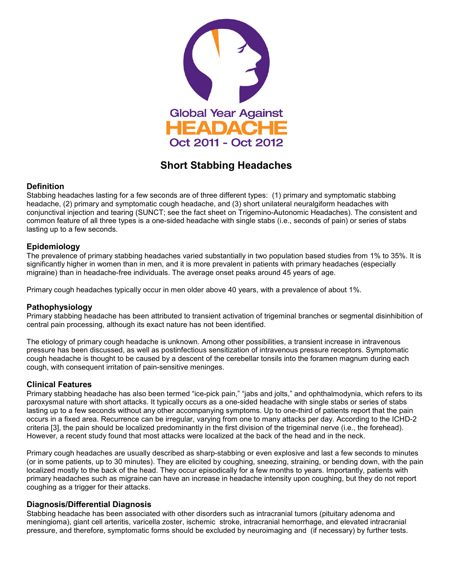

# **Short Stabbing Headaches**

### **Definition**

Stabbing headaches lasting for a few seconds are of three different types: (1) primary and symptomatic stabbing headache, (2) primary and symptomatic cough headache, and (3) short unilateral neuralgiform headaches with conjunctival injection and tearing (SUNCT; see the fact sheet on Trigemino-Autonomic Headaches). The consistent and common feature of all three types is a one-sided headache with single stabs (i.e., seconds of pain) or series of stabs lasting up to a few seconds.

# **Epidemiology**

The prevalence of primary stabbing headaches varied substantially in two population based studies from 1% to 35%. It is significantly higher in women than in men, and it is more prevalent in patients with primary headaches (especially migraine) than in headache-free individuals. The average onset peaks around 45 years of age.

Primary cough headaches typically occur in men older above 40 years, with a prevalence of about 1%.

### **Pathophysiology**

Primary stabbing headache has been attributed to transient activation of trigeminal branches or segmental disinhibition of central pain processing, although its exact nature has not been identified.

The etiology of primary cough headache is unknown. Among other possibilities, a transient increase in intravenous pressure has been discussed, as well as postinfectious sensitization of intravenous pressure receptors. Symptomatic cough headache is thought to be caused by a descent of the cerebellar tonsils into the foramen magnum during each cough, with consequent irritation of pain-sensitive meninges.

### **Clinical Features**

Primary stabbing headache has also been termed "ice-pick pain," "jabs and jolts," and ophthalmodynia, which refers to its paroxysmal nature with short attacks. It typically occurs as a one-sided headache with single stabs or series of stabs lasting up to a few seconds without any other accompanying symptoms. Up to one-third of patients report that the pain occurs in a fixed area. Recurrence can be irregular, varying from one to many attacks per day. According to the ICHD-2 criteria [3], the pain should be localized predominantly in the first division of the trigeminal nerve (i.e., the forehead). However, a recent study found that most attacks were localized at the back of the head and in the neck.

Primary cough headaches are usually described as sharp-stabbing or even explosive and last a few seconds to minutes (or in some patients, up to 30 minutes). They are elicited by coughing, sneezing, straining, or bending down, with the pain localized mostly to the back of the head. They occur episodically for a few months to years. Importantly, patients with primary headaches such as migraine can have an increase in headache intensity upon coughing, but they do not report coughing as a trigger for their attacks.

### **Diagnosis/Differential Diagnosis**

Stabbing headache has been associated with other disorders such as intracranial tumors (pituitary adenoma and meningioma), giant cell arteritis, varicella zoster, ischemic stroke, intracranial hemorrhage, and elevated intracranial pressure, and therefore, symptomatic forms should be excluded by neuroimaging and (if necessary) by further tests.